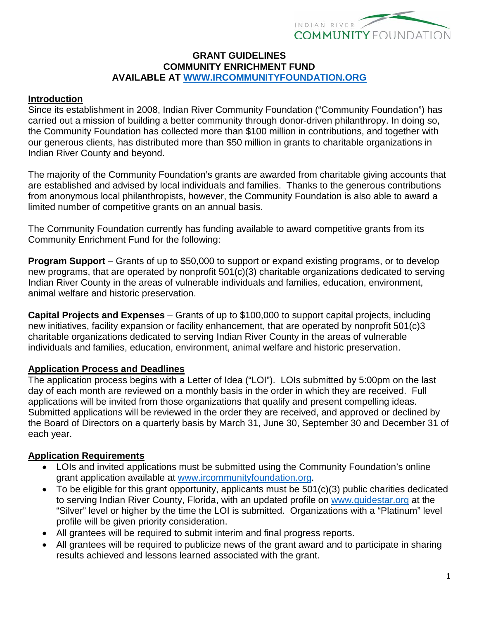

#### **GRANT GUIDELINES COMMUNITY ENRICHMENT FUND AVAILABLE AT [WWW.IRCOMMUNITYFOUNDATION.ORG](http://www.ircommunityfoundation.org/)**

#### **Introduction**

Since its establishment in 2008, Indian River Community Foundation ("Community Foundation") has carried out a mission of building a better community through donor-driven philanthropy. In doing so, the Community Foundation has collected more than \$100 million in contributions, and together with our generous clients, has distributed more than \$50 million in grants to charitable organizations in Indian River County and beyond.

The majority of the Community Foundation's grants are awarded from charitable giving accounts that are established and advised by local individuals and families. Thanks to the generous contributions from anonymous local philanthropists, however, the Community Foundation is also able to award a limited number of competitive grants on an annual basis.

The Community Foundation currently has funding available to award competitive grants from its Community Enrichment Fund for the following:

**Program Support** – Grants of up to \$50,000 to support or expand existing programs, or to develop new programs, that are operated by nonprofit 501(c)(3) charitable organizations dedicated to serving Indian River County in the areas of vulnerable individuals and families, education, environment, animal welfare and historic preservation.

**Capital Projects and Expenses** – Grants of up to \$100,000 to support capital projects, including new initiatives, facility expansion or facility enhancement, that are operated by nonprofit 501(c)3 charitable organizations dedicated to serving Indian River County in the areas of vulnerable individuals and families, education, environment, animal welfare and historic preservation.

## **Application Process and Deadlines**

The application process begins with a Letter of Idea ("LOI"). LOIs submitted by 5:00pm on the last day of each month are reviewed on a monthly basis in the order in which they are received. Full applications will be invited from those organizations that qualify and present compelling ideas. Submitted applications will be reviewed in the order they are received, and approved or declined by the Board of Directors on a quarterly basis by March 31, June 30, September 30 and December 31 of each year.

## **Application Requirements**

- LOIs and invited applications must be submitted using the Community Foundation's online grant application available at [www.ircommunityfoundation.org.](http://www.ircommunityfoundation.org/)
- To be eligible for this grant opportunity, applicants must be  $501(c)(3)$  public charities dedicated to serving Indian River County, Florida, with an updated profile on [www.guidestar.org](http://www.guidestar.org/) at the "Silver" level or higher by the time the LOI is submitted. Organizations with a "Platinum" level profile will be given priority consideration.
- All grantees will be required to submit interim and final progress reports.
- All grantees will be required to publicize news of the grant award and to participate in sharing results achieved and lessons learned associated with the grant.